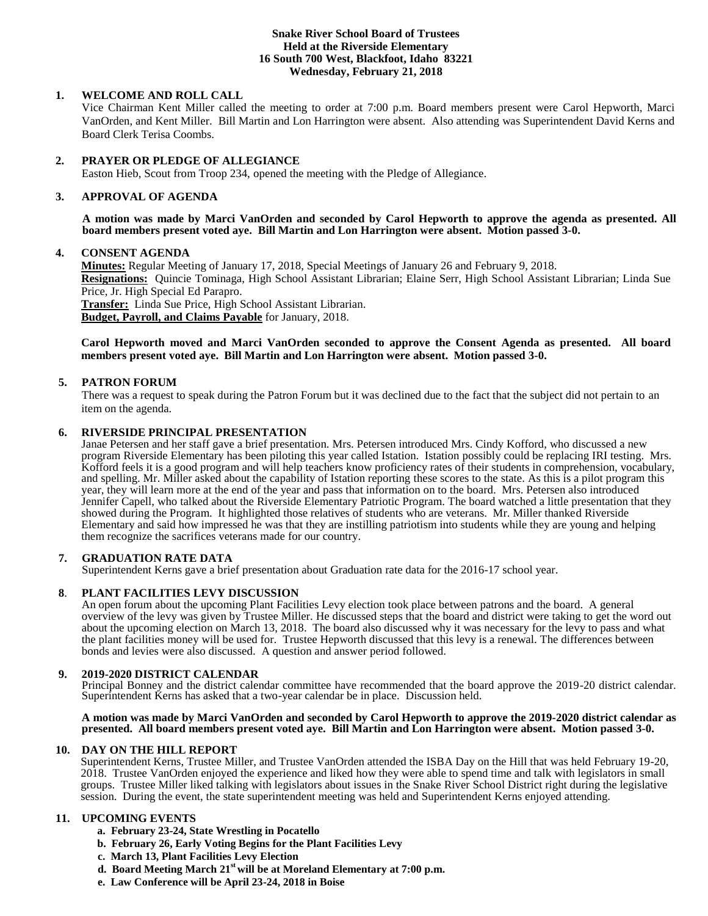### **Snake River School Board of Trustees Held at the Riverside Elementary 16 South 700 West, Blackfoot, Idaho 83221 Wednesday, February 21, 2018**

# **1. WELCOME AND ROLL CALL**

Vice Chairman Kent Miller called the meeting to order at 7:00 p.m. Board members present were Carol Hepworth, Marci VanOrden, and Kent Miller. Bill Martin and Lon Harrington were absent. Also attending was Superintendent David Kerns and Board Clerk Terisa Coombs.

### **2. PRAYER OR PLEDGE OF ALLEGIANCE**

Easton Hieb, Scout from Troop 234, opened the meeting with the Pledge of Allegiance.

# **3. APPROVAL OF AGENDA**

**A motion was made by Marci VanOrden and seconded by Carol Hepworth to approve the agenda as presented. All board members present voted aye. Bill Martin and Lon Harrington were absent. Motion passed 3-0.**

# **4. CONSENT AGENDA**

**Minutes:** Regular Meeting of January 17, 2018, Special Meetings of January 26 and February 9, 2018. **Resignations:** Quincie Tominaga, High School Assistant Librarian; Elaine Serr, High School Assistant Librarian; Linda Sue Price, Jr. High Special Ed Parapro. **Transfer:** Linda Sue Price, High School Assistant Librarian.

**Budget, Payroll, and Claims Payable** for January, 2018.

## **Carol Hepworth moved and Marci VanOrden seconded to approve the Consent Agenda as presented. All board members present voted aye. Bill Martin and Lon Harrington were absent. Motion passed 3-0.**

# **5. PATRON FORUM**

There was a request to speak during the Patron Forum but it was declined due to the fact that the subject did not pertain to an item on the agenda.

# **6. RIVERSIDE PRINCIPAL PRESENTATION**

Janae Petersen and her staff gave a brief presentation. Mrs. Petersen introduced Mrs. Cindy Kofford, who discussed a new program Riverside Elementary has been piloting this year called Istation. Istation possibly could be replacing IRI testing. Mrs. Kofford feels it is a good program and will help teachers know proficiency rates of their students in comprehension, vocabulary, and spelling. Mr. Miller asked about the capability of Istation reporting these scores to the state. As this is a pilot program this year, they will learn more at the end of the year and pass that information on to the board. Mrs. Petersen also introduced Jennifer Capell, who talked about the Riverside Elementary Patriotic Program. The board watched a little presentation that they showed during the Program. It highlighted those relatives of students who are veterans. Mr. Miller thanked Riverside Elementary and said how impressed he was that they are instilling patriotism into students while they are young and helping them recognize the sacrifices veterans made for our country.

### **7. GRADUATION RATE DATA**

Superintendent Kerns gave a brief presentation about Graduation rate data for the 2016-17 school year.

# **8**. **PLANT FACILITIES LEVY DISCUSSION**

An open forum about the upcoming Plant Facilities Levy election took place between patrons and the board. A general overview of the levy was given by Trustee Miller. He discussed steps that the board and district were taking to get the word out about the upcoming election on March 13, 2018. The board also discussed why it was necessary for the levy to pass and what the plant facilities money will be used for. Trustee Hepworth discussed that this levy is a renewal. The differences between bonds and levies were also discussed. A question and answer period followed.

### **9. 2019-2020 DISTRICT CALENDAR**

Principal Bonney and the district calendar committee have recommended that the board approve the 2019-20 district calendar. Superintendent Kerns has asked that a two-year calendar be in place. Discussion held.

### **A motion was made by Marci VanOrden and seconded by Carol Hepworth to approve the 2019-2020 district calendar as presented. All board members present voted aye. Bill Martin and Lon Harrington were absent. Motion passed 3-0.**

### **10. DAY ON THE HILL REPORT**

Superintendent Kerns, Trustee Miller, and Trustee VanOrden attended the ISBA Day on the Hill that was held February 19-20, 2018. Trustee VanOrden enjoyed the experience and liked how they were able to spend time and talk with legislators in small groups. Trustee Miller liked talking with legislators about issues in the Snake River School District right during the legislative session. During the event, the state superintendent meeting was held and Superintendent Kerns enjoyed attending.

### **11. UPCOMING EVENTS**

- **a. February 23-24, State Wrestling in Pocatello**
- **b. February 26, Early Voting Begins for the Plant Facilities Levy**
- **c. March 13, Plant Facilities Levy Election**
- **d. Board Meeting March 21st will be at Moreland Elementary at 7:00 p.m.**
- **e. Law Conference will be April 23-24, 2018 in Boise**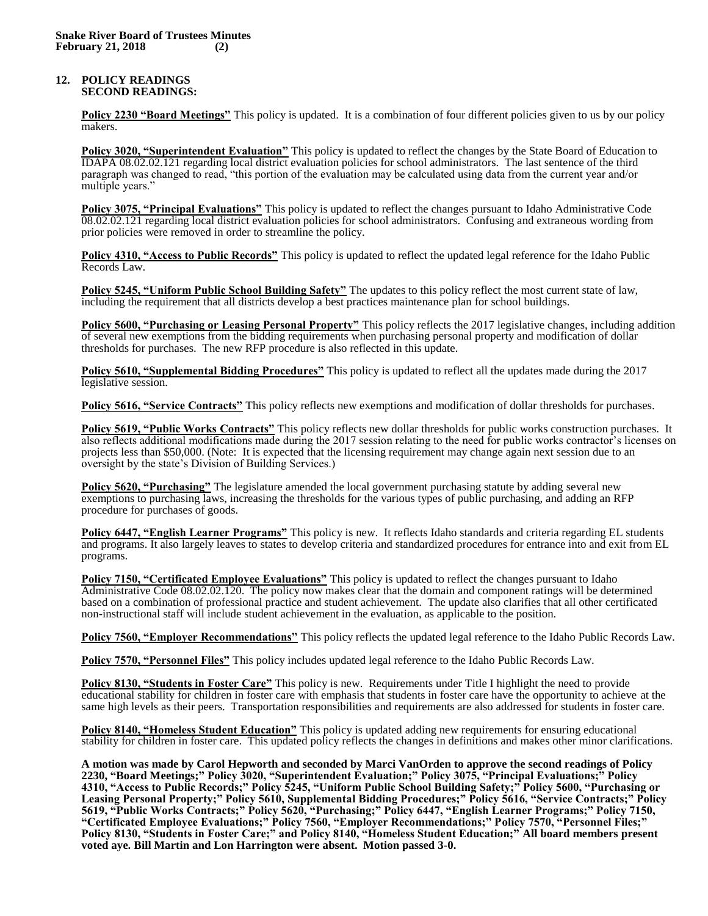#### **12. POLICY READINGS SECOND READINGS:**

**Policy 2230 "Board Meetings"** This policy is updated. It is a combination of four different policies given to us by our policy makers.

**Policy 3020, "Superintendent Evaluation"** This policy is updated to reflect the changes by the State Board of Education to IDAPA 08.02.02.121 regarding local district evaluation policies for school administrators. The last sentence of the third paragraph was changed to read, "this portion of the evaluation may be calculated using data from the current year and/or multiple years."

**Policy 3075, "Principal Evaluations"** This policy is updated to reflect the changes pursuant to Idaho Administrative Code 08.02.02.121 regarding local district evaluation policies for school administrators. Confusing and extraneous wording from prior policies were removed in order to streamline the policy.

**Policy 4310, "Access to Public Records"** This policy is updated to reflect the updated legal reference for the Idaho Public Records Law.

**Policy 5245, "Uniform Public School Building Safety"** The updates to this policy reflect the most current state of law, including the requirement that all districts develop a best practices maintenance plan for school buildings.

**Policy 5600, "Purchasing or Leasing Personal Property"** This policy reflects the 2017 legislative changes, including addition of several new exemptions from the bidding requirements when purchasing personal property and modification of dollar thresholds for purchases. The new RFP procedure is also reflected in this update.

**Policy 5610, "Supplemental Bidding Procedures"** This policy is updated to reflect all the updates made during the 2017 legislative session.

**Policy 5616, "Service Contracts"** This policy reflects new exemptions and modification of dollar thresholds for purchases.

**Policy 5619, "Public Works Contracts"** This policy reflects new dollar thresholds for public works construction purchases. It also reflects additional modifications made during the 2017 session relating to the need for public works contractor's licenses on projects less than \$50,000. (Note: It is expected that the licensing requirement may change again next session due to an oversight by the state's Division of Building Services.)

**Policy 5620, "Purchasing"** The legislature amended the local government purchasing statute by adding several new exemptions to purchasing laws, increasing the thresholds for the various types of public purchasing, and adding an RFP procedure for purchases of goods.

**Policy 6447, "English Learner Programs"** This policy is new. It reflects Idaho standards and criteria regarding EL students and programs. It also largely leaves to states to develop criteria and standardized procedures for entrance into and exit from EL programs.

**Policy 7150, "Certificated Employee Evaluations"** This policy is updated to reflect the changes pursuant to Idaho Administrative Code 08.02.02.120. The policy now makes clear that the domain and component ratings will be determined based on a combination of professional practice and student achievement. The update also clarifies that all other certificated non-instructional staff will include student achievement in the evaluation, as applicable to the position.

**Policy 7560, "Employer Recommendations"** This policy reflects the updated legal reference to the Idaho Public Records Law.

**Policy 7570, "Personnel Files"** This policy includes updated legal reference to the Idaho Public Records Law.

**Policy 8130, "Students in Foster Care"** This policy is new. Requirements under Title I highlight the need to provide educational stability for children in foster care with emphasis that students in foster care have the opportunity to achieve at the same high levels as their peers. Transportation responsibilities and requirements are also addressed for students in foster care.

**Policy 8140, "Homeless Student Education"** This policy is updated adding new requirements for ensuring educational stability for children in foster care. This updated policy reflects the changes in definitions and makes other minor clarifications.

**A motion was made by Carol Hepworth and seconded by Marci VanOrden to approve the second readings of Policy 2230, "Board Meetings;" Policy 3020, "Superintendent Evaluation;" Policy 3075, "Principal Evaluations;" Policy 4310, "Access to Public Records;" Policy 5245, "Uniform Public School Building Safety;" Policy 5600, "Purchasing or Leasing Personal Property;" Policy 5610, Supplemental Bidding Procedures;" Policy 5616, "Service Contracts;" Policy 5619, "Public Works Contracts;" Policy 5620, "Purchasing;" Policy 6447, "English Learner Programs;" Policy 7150, "Certificated Employee Evaluations;" Policy 7560, "Employer Recommendations;" Policy 7570, "Personnel Files;" Policy 8130, "Students in Foster Care;" and Policy 8140, "Homeless Student Education;" All board members present voted aye. Bill Martin and Lon Harrington were absent. Motion passed 3-0.**